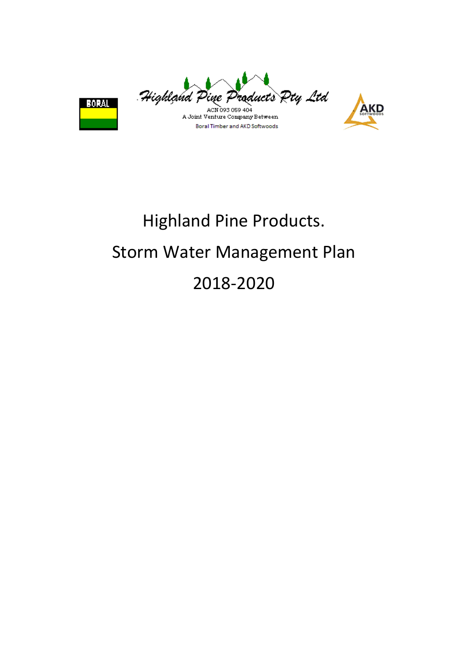

**AKD** 



# Highland Pine Products. Storm Water Management Plan 2018-2020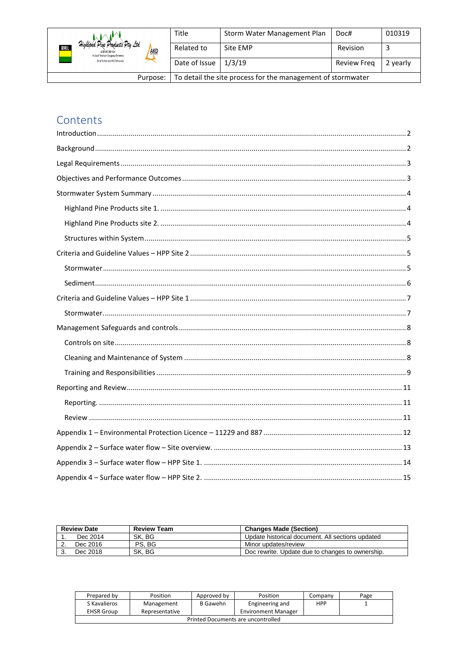|                                                                                                                   | Title                                                       | Storm Water Management Plan | Doc#               | 010319   |
|-------------------------------------------------------------------------------------------------------------------|-------------------------------------------------------------|-----------------------------|--------------------|----------|
| Highland Pine Products Pty Ltd<br><b>BOLL</b><br><b>AKD</b><br>ACN 093 059 404<br>A Joint Venture Company Between | Related to                                                  | Site EMP                    | Revision           |          |
| Boral Timber and AKD Softwoods                                                                                    | Date of Issue                                               | 1/3/19                      | <b>Review Freg</b> | 2 yearly |
| Purpose:                                                                                                          | To detail the site process for the management of stormwater |                             |                    |          |

# Contents

| <b>Review Date</b> | <b>Review Team</b> | <b>Changes Made (Section)</b>                    |
|--------------------|--------------------|--------------------------------------------------|
| Dec 2014           | SK. BG             | Update historical document. All sections updated |
| Dec 2016           | PS. BG             | Minor updates/review                             |
| Dec 2018           | SK. BG             | Doc rewrite. Update due to changes to ownership. |

| Prepared by                        | Position       | Approved by | Position                   | Company    | Page |
|------------------------------------|----------------|-------------|----------------------------|------------|------|
| S Kavalieros                       | Management     | B Gawehn    | Engineering and            | <b>HPP</b> |      |
| <b>EHSR Group</b>                  | Representative |             | <b>Environment Manager</b> |            |      |
| Printed Documents are uncontrolled |                |             |                            |            |      |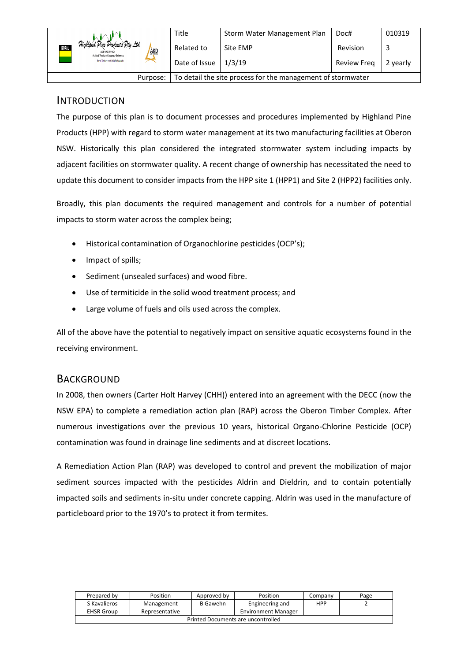|                                                                                                      | <b>Title</b>                                                | Storm Water Management Plan | Doc#        | 010319   |
|------------------------------------------------------------------------------------------------------|-------------------------------------------------------------|-----------------------------|-------------|----------|
| Highland Pine Products Pty Ltd<br>BORAL<br>AKD<br>ACN 093 059 404<br>A Joint Venture Company Between | Related to                                                  | Site EMP                    | Revision    |          |
| Boral Timber and AKD Softwoods                                                                       | Date of Issue                                               | 1/3/19                      | Review Freg | 2 yearly |
| Purpose:                                                                                             | To detail the site process for the management of stormwater |                             |             |          |

## <span id="page-2-0"></span>INTRODUCTION

The purpose of this plan is to document processes and procedures implemented by Highland Pine Products (HPP) with regard to storm water management at its two manufacturing facilities at Oberon NSW. Historically this plan considered the integrated stormwater system including impacts by adjacent facilities on stormwater quality. A recent change of ownership has necessitated the need to update this document to consider impacts from the HPP site 1 (HPP1) and Site 2 (HPP2) facilities only.

Broadly, this plan documents the required management and controls for a number of potential impacts to storm water across the complex being;

- Historical contamination of Organochlorine pesticides (OCP's);
- Impact of spills;
- Sediment (unsealed surfaces) and wood fibre.
- Use of termiticide in the solid wood treatment process; and
- Large volume of fuels and oils used across the complex.

All of the above have the potential to negatively impact on sensitive aquatic ecosystems found in the receiving environment.

## <span id="page-2-1"></span>**BACKGROUND**

In 2008, then owners (Carter Holt Harvey (CHH)) entered into an agreement with the DECC (now the NSW EPA) to complete a remediation action plan (RAP) across the Oberon Timber Complex. After numerous investigations over the previous 10 years, historical Organo-Chlorine Pesticide (OCP) contamination was found in drainage line sediments and at discreet locations.

A Remediation Action Plan (RAP) was developed to control and prevent the mobilization of major sediment sources impacted with the pesticides Aldrin and Dieldrin, and to contain potentially impacted soils and sediments in-situ under concrete capping. Aldrin was used in the manufacture of particleboard prior to the 1970's to protect it from termites.

| Prepared by                        | Position       | Approved by     | Position                   | Company    | Page |
|------------------------------------|----------------|-----------------|----------------------------|------------|------|
| S Kavalieros                       | Management     | <b>B</b> Gawehn | Engineering and            | <b>HPP</b> |      |
| <b>EHSR Group</b>                  | Representative |                 | <b>Environment Manager</b> |            |      |
| Printed Documents are uncontrolled |                |                 |                            |            |      |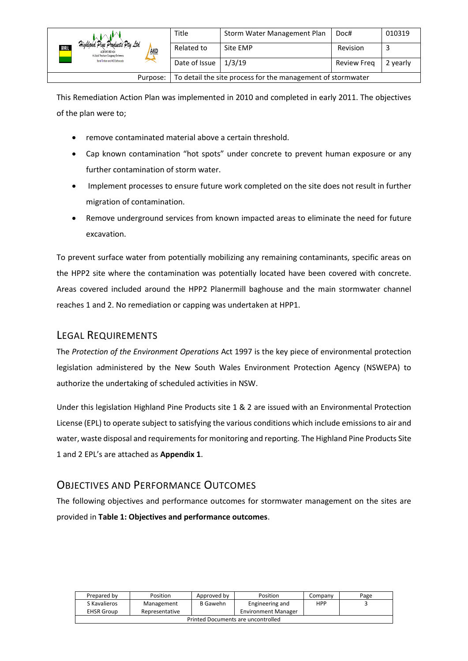|                                                                                                                  | Title                                                       | Storm Water Management Plan | Doc#        | 010319   |
|------------------------------------------------------------------------------------------------------------------|-------------------------------------------------------------|-----------------------------|-------------|----------|
| Highland Pine Products Pty Ltd<br><b>BOM</b><br><b>AKD</b><br>ACN 093 059 404<br>A Joint Venture Company Between | Related to                                                  | Site EMP                    | Revision    |          |
| Boral Timber and AKD Softwoods                                                                                   | Date of Issue                                               | 1/3/19                      | Review Freg | 2 yearly |
| Purpose:                                                                                                         | To detail the site process for the management of stormwater |                             |             |          |

This Remediation Action Plan was implemented in 2010 and completed in early 2011. The objectives of the plan were to;

- remove contaminated material above a certain threshold.
- Cap known contamination "hot spots" under concrete to prevent human exposure or any further contamination of storm water.
- Implement processes to ensure future work completed on the site does not result in further migration of contamination.
- Remove underground services from known impacted areas to eliminate the need for future excavation.

To prevent surface water from potentially mobilizing any remaining contaminants, specific areas on the HPP2 site where the contamination was potentially located have been covered with concrete. Areas covered included around the HPP2 Planermill baghouse and the main stormwater channel reaches 1 and 2. No remediation or capping was undertaken at HPP1.

# <span id="page-3-0"></span>LEGAL REQUIREMENTS

The *Protection of the Environment Operations* Act 1997 is the key piece of environmental protection legislation administered by the New South Wales Environment Protection Agency (NSWEPA) to authorize the undertaking of scheduled activities in NSW.

Under this legislation Highland Pine Products site 1 & 2 are issued with an Environmental Protection License (EPL) to operate subject to satisfying the various conditions which include emissions to air and water, waste disposal and requirements for monitoring and reporting. The Highland Pine Products Site 1 and 2 EPL's are attached as **Appendix 1**.

# <span id="page-3-1"></span>OBJECTIVES AND PERFORMANCE OUTCOMES

The following objectives and performance outcomes for stormwater management on the sites are provided in **Table 1: Objectives and performance outcomes**.

| Prepared by                        | Position       | Approved by     | Position                   | Company    | Page |
|------------------------------------|----------------|-----------------|----------------------------|------------|------|
| S Kavalieros                       | Management     | <b>B</b> Gawehn | Engineering and            | <b>HPP</b> |      |
| <b>EHSR Group</b>                  | Representative |                 | <b>Environment Manager</b> |            |      |
| Printed Documents are uncontrolled |                |                 |                            |            |      |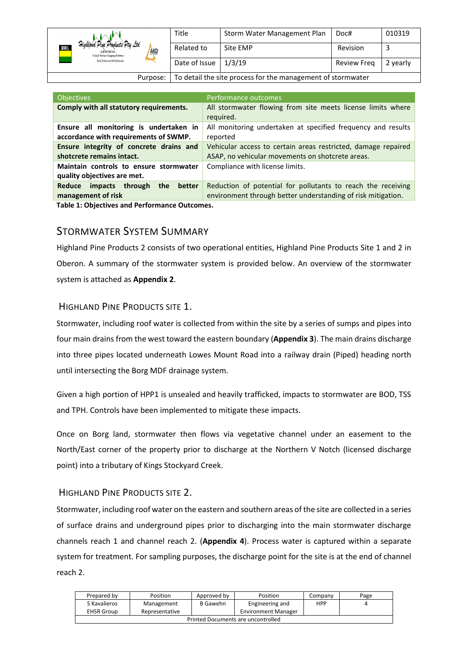|                                                                                                             | Title                                                       | Storm Water Management Plan | Doc#               | 010319   |
|-------------------------------------------------------------------------------------------------------------|-------------------------------------------------------------|-----------------------------|--------------------|----------|
| Highland Pine Products Pty Ltd<br>BORAL<br><b>AKD</b><br>ACN 093 059 404<br>A Joint Venture Company Between | Related to                                                  | Site EMP                    | Revision           |          |
| Boral Timber and AKD Softwoods                                                                              | Date of Issue                                               | 1/3/19                      | <b>Review Freg</b> | 2 yearly |
| Purpose:                                                                                                    | To detail the site process for the management of stormwater |                             |                    |          |

| <b>Objectives</b>                                                                 | Performance outcomes                                                                                                         |
|-----------------------------------------------------------------------------------|------------------------------------------------------------------------------------------------------------------------------|
| Comply with all statutory requirements.                                           | All stormwater flowing from site meets license limits where<br>required.                                                     |
|                                                                                   |                                                                                                                              |
| Ensure all monitoring is undertaken in<br>accordance with requirements of SWMP.   | All monitoring undertaken at specified frequency and results<br>reported                                                     |
| Ensure integrity of concrete drains and                                           | Vehicular access to certain areas restricted, damage repaired                                                                |
| shotcrete remains intact.                                                         | ASAP, no vehicular movements on shotcrete areas.                                                                             |
| Maintain controls to ensure stormwater<br>quality objectives are met.             | Compliance with license limits.                                                                                              |
| better<br><b>Reduce</b><br><i>impacts</i><br>through<br>the<br>management of risk | Reduction of potential for pollutants to reach the receiving<br>environment through better understanding of risk mitigation. |
|                                                                                   |                                                                                                                              |

**Table 1: Objectives and Performance Outcomes.**

# <span id="page-4-0"></span>STORMWATER SYSTEM SUMMARY

Highland Pine Products 2 consists of two operational entities, Highland Pine Products Site 1 and 2 in Oberon. A summary of the stormwater system is provided below. An overview of the stormwater system is attached as **Appendix 2**.

## <span id="page-4-1"></span>HIGHLAND PINE PRODUCTS SITE 1.

Stormwater, including roof water is collected from within the site by a series of sumps and pipes into four main drains from the west toward the eastern boundary (**Appendix 3**). The main drains discharge into three pipes located underneath Lowes Mount Road into a railway drain (Piped) heading north until intersecting the Borg MDF drainage system.

Given a high portion of HPP1 is unsealed and heavily trafficked, impacts to stormwater are BOD, TSS and TPH. Controls have been implemented to mitigate these impacts.

Once on Borg land, stormwater then flows via vegetative channel under an easement to the North/East corner of the property prior to discharge at the Northern V Notch (licensed discharge point) into a tributary of Kings Stockyard Creek.

## <span id="page-4-2"></span>HIGHLAND PINE PRODUCTS SITE 2.

Stormwater, including roof water on the eastern and southern areas of the site are collected in a series of surface drains and underground pipes prior to discharging into the main stormwater discharge channels reach 1 and channel reach 2. (**Appendix 4**). Process water is captured within a separate system for treatment. For sampling purposes, the discharge point for the site is at the end of channel reach 2.

| Prepared by                        | Position       | Approved by | Position                   | Company    | Page |
|------------------------------------|----------------|-------------|----------------------------|------------|------|
| S Kavalieros                       | Management     | B Gawehn    | Engineering and            | <b>HPP</b> |      |
| <b>EHSR Group</b>                  | Representative |             | <b>Environment Manager</b> |            |      |
| Printed Documents are uncontrolled |                |             |                            |            |      |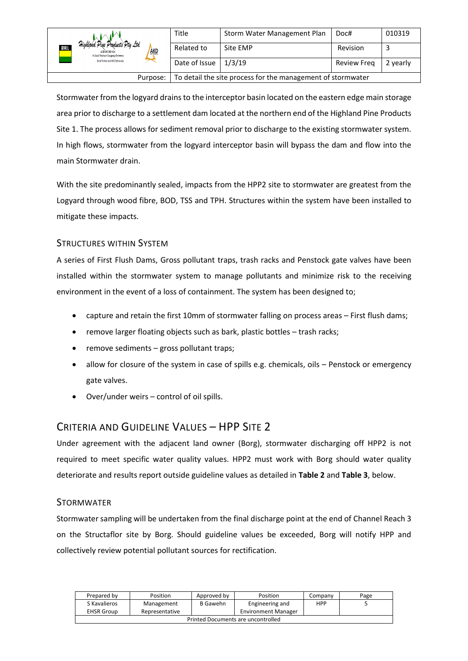|                                                                                                      | Title         | Storm Water Management Plan | Doc#               | 010319   |
|------------------------------------------------------------------------------------------------------|---------------|-----------------------------|--------------------|----------|
| Highland Pine Products Pty Ltd<br>KORAL<br>AKD<br>ACN 093 059 404<br>A Joint Venture Company Between | Related to    | Site EMP                    | Revision           |          |
| Boral Timber and AKD Softwoods                                                                       | Date of Issue | 1/3/19                      | <b>Review Freg</b> | 2 yearly |
| To detail the site process for the management of stormwater<br>Purpose:                              |               |                             |                    |          |

Stormwater from the logyard drains to the interceptor basin located on the eastern edge main storage area prior to discharge to a settlement dam located at the northern end of the Highland Pine Products Site 1. The process allows for sediment removal prior to discharge to the existing stormwater system. In high flows, stormwater from the logyard interceptor basin will bypass the dam and flow into the main Stormwater drain.

With the site predominantly sealed, impacts from the HPP2 site to stormwater are greatest from the Logyard through wood fibre, BOD, TSS and TPH. Structures within the system have been installed to mitigate these impacts.

## <span id="page-5-0"></span>STRUCTURES WITHIN SYSTEM

A series of First Flush Dams, Gross pollutant traps, trash racks and Penstock gate valves have been installed within the stormwater system to manage pollutants and minimize risk to the receiving environment in the event of a loss of containment. The system has been designed to;

- capture and retain the first 10mm of stormwater falling on process areas First flush dams;
- remove larger floating objects such as bark, plastic bottles trash racks;
- remove sediments gross pollutant traps;
- allow for closure of the system in case of spills e.g. chemicals, oils Penstock or emergency gate valves.
- Over/under weirs control of oil spills.

# <span id="page-5-1"></span>CRITERIA AND GUIDELINE VALUES – HPP SITE 2

Under agreement with the adjacent land owner (Borg), stormwater discharging off HPP2 is not required to meet specific water quality values. HPP2 must work with Borg should water quality deteriorate and results report outside guideline values as detailed in **Table 2** and **Table 3**, below.

## <span id="page-5-2"></span>STORMWATER

Stormwater sampling will be undertaken from the final discharge point at the end of Channel Reach 3 on the Structaflor site by Borg. Should guideline values be exceeded, Borg will notify HPP and collectively review potential pollutant sources for rectification.

| Prepared by                                                       | Position   | Approved by | Position        | Company    | Page |  |
|-------------------------------------------------------------------|------------|-------------|-----------------|------------|------|--|
| S Kavalieros                                                      | Management | B Gawehn    | Engineering and | <b>HPP</b> |      |  |
| <b>Environment Manager</b><br>Representative<br><b>EHSR Group</b> |            |             |                 |            |      |  |
| Printed Documents are uncontrolled                                |            |             |                 |            |      |  |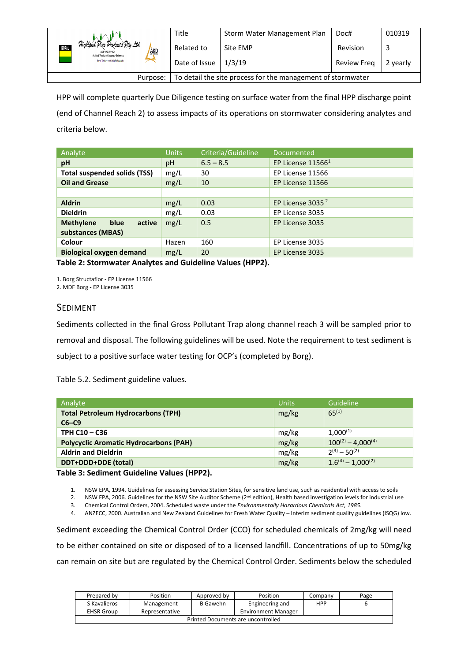|                                                                                                             | Title         | Storm Water Management Plan | Doc#        | 010319   |
|-------------------------------------------------------------------------------------------------------------|---------------|-----------------------------|-------------|----------|
| Highland Pine Products Pty Ltd<br>KORAL<br><b>AKD</b><br>ACN 093 059 404<br>A Joint Venture Company Between | Related to    | Site EMP                    | Revision    |          |
| Boral Timber and AKD Softwoods                                                                              | Date of Issue | 1/3/19                      | Review Freg | 2 yearly |
| To detail the site process for the management of stormwater<br>Purpose:                                     |               |                             |             |          |

HPP will complete quarterly Due Diligence testing on surface water from the final HPP discharge point (end of Channel Reach 2) to assess impacts of its operations on stormwater considering analytes and criteria below.

| Analyte                             | <b>Units</b> | Criteria/Guideline | Documented          |
|-------------------------------------|--------------|--------------------|---------------------|
| рH                                  | pH           | $6.5 - 8.5$        | EP License $115661$ |
| <b>Total suspended solids (TSS)</b> | mg/L         | 30                 | EP License 11566    |
| <b>Oil and Grease</b>               | mg/L         | 10                 | EP License 11566    |
|                                     |              |                    |                     |
| <b>Aldrin</b>                       | mg/L         | 0.03               | EP License 3035 $2$ |
| <b>Dieldrin</b>                     | mg/L         | 0.03               | EP License 3035     |
| <b>Methylene</b><br>blue<br>active  | mg/L         | 0.5                | EP License 3035     |
| substances (MBAS)                   |              |                    |                     |
| <b>Colour</b>                       | Hazen        | 160                | EP License 3035     |
| <b>Biological oxygen demand</b>     | mg/L         | 20                 | EP License 3035     |

**Table 2: Stormwater Analytes and Guideline Values (HPP2).**

1. Borg Structaflor - EP License 11566

<span id="page-6-0"></span>2. MDF Borg - EP License 3035

#### SEDIMENT

Sediments collected in the final Gross Pollutant Trap along channel reach 3 will be sampled prior to removal and disposal. The following guidelines will be used. Note the requirement to test sediment is subject to a positive surface water testing for OCP's (completed by Borg).

Table 5.2. Sediment guideline values.

| <b>Units</b> | Guideline                 |
|--------------|---------------------------|
| mg/kg        | $65^{(1)}$                |
|              |                           |
| mg/kg        | $1,000^{(1)}$             |
| mg/kg        | $100^{(2)} - 4.000^{(4)}$ |
| mg/kg        | $2^{(3)} - 50^{(2)}$      |
| mg/kg        | $1.6^{(4)} - 1.000^{(2)}$ |
|              |                           |

#### **Table 3: Sediment Guideline Values (HPP2).**

1. NSW EPA, 1994. Guidelines for assessing Service Station Sites, for sensitive land use, such as residential with access to soils

2. NSW EPA, 2006. Guidelines for the NSW Site Auditor Scheme (2<sup>nd</sup> edition), Health based investigation levels for industrial use

3. Chemical Control Orders, 2004. Scheduled waste under the *Environmentally Hazardous Chemicals Act, 1985*.

4. ANZECC, 2000. Australian and New Zealand Guidelines for Fresh Water Quality – Interim sediment quality guidelines (ISQG) low.

Sediment exceeding the Chemical Control Order (CCO) for scheduled chemicals of 2mg/kg will need to be either contained on site or disposed of to a licensed landfill. Concentrations of up to 50mg/kg can remain on site but are regulated by the Chemical Control Order. Sediments below the scheduled

| Prepared by                                                       | Position   | Approved by | Position        | Companv    | Page |
|-------------------------------------------------------------------|------------|-------------|-----------------|------------|------|
| S Kavalieros                                                      | Management | B Gawehn    | Engineering and | <b>HPP</b> |      |
| <b>EHSR Group</b><br><b>Environment Manager</b><br>Representative |            |             |                 |            |      |
| Printed Documents are uncontrolled                                |            |             |                 |            |      |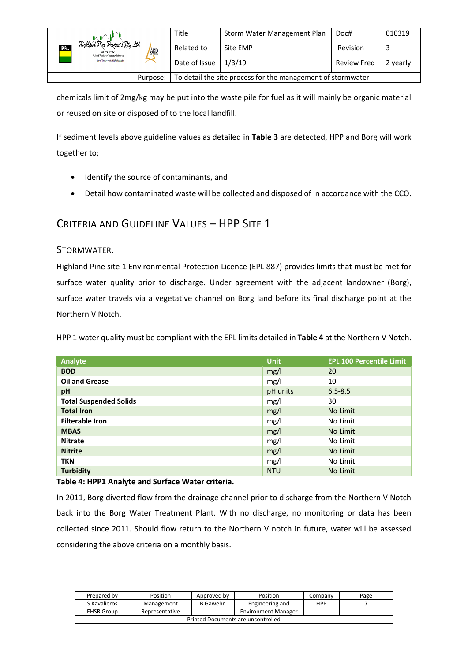|                                                                                                             | Title         | Storm Water Management Plan | Doc#        | 010319   |
|-------------------------------------------------------------------------------------------------------------|---------------|-----------------------------|-------------|----------|
| Highland Pine Products Pty Ltd<br>BORAL<br><b>AKD</b><br>ACN 093 059 404<br>A Joint Venture Company Between | Related to    | Site EMP                    | Revision    |          |
| Boral Timber and AKD Softwoods                                                                              | Date of Issue | 1/3/19                      | Review Freg | 2 yearly |
| To detail the site process for the management of stormwater<br>Purpose:                                     |               |                             |             |          |

chemicals limit of 2mg/kg may be put into the waste pile for fuel as it will mainly be organic material or reused on site or disposed of to the local landfill.

If sediment levels above guideline values as detailed in **Table 3** are detected, HPP and Borg will work together to;

- Identify the source of contaminants, and
- Detail how contaminated waste will be collected and disposed of in accordance with the CCO.

# <span id="page-7-0"></span>CRITERIA AND GUIDELINE VALUES – HPP SITE 1

## <span id="page-7-1"></span>STORMWATER.

Highland Pine site 1 Environmental Protection Licence (EPL 887) provides limits that must be met for surface water quality prior to discharge. Under agreement with the adjacent landowner (Borg), surface water travels via a vegetative channel on Borg land before its final discharge point at the Northern V Notch.

HPP 1 water quality must be compliant with the EPL limits detailed in **Table 4** at the Northern V Notch.

| Analyte                       | <b>Unit</b> | <b>EPL 100 Percentile Limit</b> |
|-------------------------------|-------------|---------------------------------|
| <b>BOD</b>                    | mg/l        | 20                              |
| <b>Oil and Grease</b>         | mg/l        | 10                              |
| pH                            | pH units    | $6.5 - 8.5$                     |
| <b>Total Suspended Solids</b> | mg/l        | 30                              |
| <b>Total Iron</b>             | mg/l        | No Limit                        |
| <b>Filterable Iron</b>        | mg/l        | No Limit                        |
| <b>MBAS</b>                   | mg/l        | No Limit                        |
| <b>Nitrate</b>                | mg/l        | No Limit                        |
| <b>Nitrite</b>                | mg/l        | No Limit                        |
| <b>TKN</b>                    | mg/l        | No Limit                        |
| <b>Turbidity</b>              | <b>NTU</b>  | No Limit                        |

#### **Table 4: HPP1 Analyte and Surface Water criteria.**

In 2011, Borg diverted flow from the drainage channel prior to discharge from the Northern V Notch back into the Borg Water Treatment Plant. With no discharge, no monitoring or data has been collected since 2011. Should flow return to the Northern V notch in future, water will be assessed considering the above criteria on a monthly basis.

| Prepared by                        | Position       | Approved by     | Position                   | Company    | Page |
|------------------------------------|----------------|-----------------|----------------------------|------------|------|
| S Kavalieros                       | Management     | <b>B</b> Gawehn | Engineering and            | <b>HPP</b> |      |
| <b>EHSR Group</b>                  | Representative |                 | <b>Environment Manager</b> |            |      |
| Printed Documents are uncontrolled |                |                 |                            |            |      |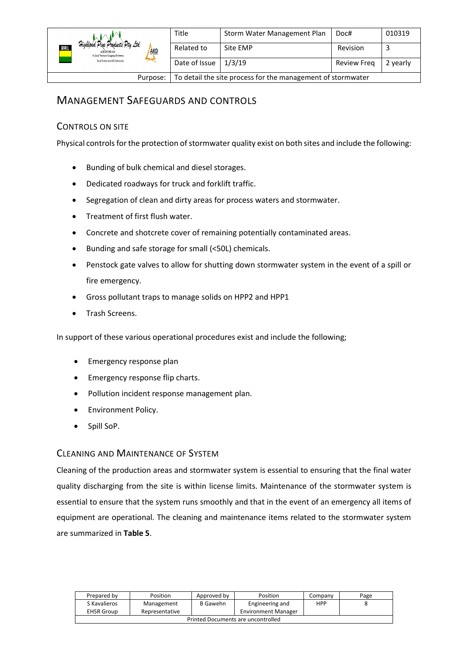|                                                                                                                    | Title         | Storm Water Management Plan                                 | Doc#        | 010319   |
|--------------------------------------------------------------------------------------------------------------------|---------------|-------------------------------------------------------------|-------------|----------|
| Highland Pine Products Pty Ltd<br><b>ROBAL</b><br><b>AKD</b><br>ACN 093 059 404<br>A Joint Venture Company Between | Related to    | Site EMP                                                    | Revision    |          |
| Boral Timber and AKD Softwoods                                                                                     | Date of Issue | 1/3/19                                                      | Review Freg | 2 yearly |
| Purpose:                                                                                                           |               | To detail the site process for the management of stormwater |             |          |

# <span id="page-8-0"></span>MANAGEMENT SAFEGUARDS AND CONTROLS

# <span id="page-8-1"></span>CONTROLS ON SITE

Physical controls for the protection of stormwater quality exist on both sites and include the following:

- Bunding of bulk chemical and diesel storages.
- Dedicated roadways for truck and forklift traffic.
- Segregation of clean and dirty areas for process waters and stormwater.
- Treatment of first flush water.
- Concrete and shotcrete cover of remaining potentially contaminated areas.
- Bunding and safe storage for small (<50L) chemicals.
- Penstock gate valves to allow for shutting down stormwater system in the event of a spill or fire emergency.
- Gross pollutant traps to manage solids on HPP2 and HPP1
- Trash Screens.

In support of these various operational procedures exist and include the following;

- Emergency response plan
- Emergency response flip charts.
- Pollution incident response management plan.
- Environment Policy.
- Spill SoP.

## <span id="page-8-2"></span>CLEANING AND MAINTENANCE OF SYSTEM

Cleaning of the production areas and stormwater system is essential to ensuring that the final water quality discharging from the site is within license limits. Maintenance of the stormwater system is essential to ensure that the system runs smoothly and that in the event of an emergency all items of equipment are operational. The cleaning and maintenance items related to the stormwater system are summarized in **Table 5**.

| Prepared by                                                       | Position   | Approved by | Position        | Company    | Page |
|-------------------------------------------------------------------|------------|-------------|-----------------|------------|------|
| S Kavalieros                                                      | Management | B Gawehn    | Engineering and | <b>HPP</b> |      |
| <b>Environment Manager</b><br><b>EHSR Group</b><br>Representative |            |             |                 |            |      |
| Printed Documents are uncontrolled                                |            |             |                 |            |      |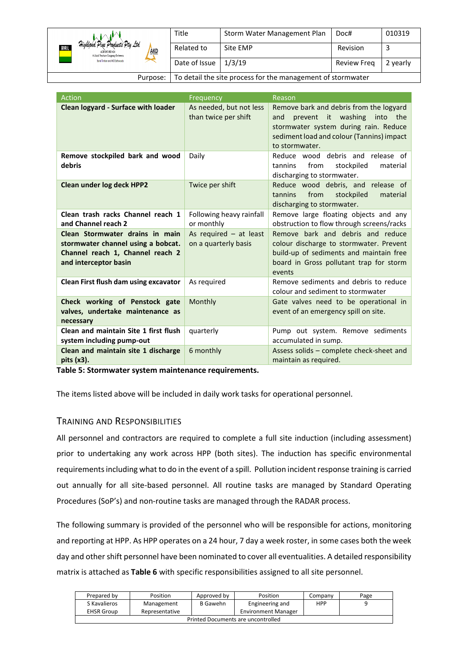|                                                                                                                    | Title         | Storm Water Management Plan                                 | Doc#        | 010319   |
|--------------------------------------------------------------------------------------------------------------------|---------------|-------------------------------------------------------------|-------------|----------|
| Highland Pine Products Pty Ltd<br><b>ROBAL</b><br><b>AKD</b><br>ACN 093 059 404<br>A Joint Venture Company Between | Related to    | Site EMP                                                    | Revision    |          |
| Boral Timber and AKD Softwoods                                                                                     | Date of Issue | 1/3/19                                                      | Review Freg | 2 yearly |
| Purpose:                                                                                                           |               | To detail the site process for the management of stormwater |             |          |

| Action                                                                                                                             | Frequency                                        | Reason                                                                                                                                                                                |
|------------------------------------------------------------------------------------------------------------------------------------|--------------------------------------------------|---------------------------------------------------------------------------------------------------------------------------------------------------------------------------------------|
| <b>Clean logyard - Surface with loader</b>                                                                                         | As needed, but not less<br>than twice per shift  | Remove bark and debris from the logyard<br>prevent it washing into the<br>and<br>stormwater system during rain. Reduce<br>sediment load and colour (Tannins) impact<br>to stormwater. |
| Remove stockpiled bark and wood<br>debris                                                                                          | Daily                                            | Reduce wood debris and release of<br>stockpiled<br>from<br>material<br>tannins<br>discharging to stormwater.                                                                          |
| <b>Clean under log deck HPP2</b>                                                                                                   | Twice per shift                                  | Reduce wood debris, and release of<br>stockpiled<br>tannins<br>from<br>material<br>discharging to stormwater.                                                                         |
| Clean trash racks Channel reach 1<br>and Channel reach 2                                                                           | Following heavy rainfall<br>or monthly           | Remove large floating objects and any<br>obstruction to flow through screens/racks                                                                                                    |
| Clean Stormwater drains in main<br>stormwater channel using a bobcat.<br>Channel reach 1, Channel reach 2<br>and interceptor basin | As required $-$ at least<br>on a quarterly basis | Remove bark and debris and reduce<br>colour discharge to stormwater. Prevent<br>build-up of sediments and maintain free<br>board in Gross pollutant trap for storm<br>events          |
| Clean First flush dam using excavator                                                                                              | As required                                      | Remove sediments and debris to reduce<br>colour and sediment to stormwater                                                                                                            |
| Check working of Penstock gate<br>valves, undertake maintenance as<br>necessary                                                    | Monthly                                          | Gate valves need to be operational in<br>event of an emergency spill on site.                                                                                                         |
| Clean and maintain Site 1 first flush<br>system including pump-out                                                                 | quarterly                                        | Pump out system. Remove sediments<br>accumulated in sump.                                                                                                                             |
| Clean and maintain site 1 discharge<br>pits (x3).                                                                                  | 6 monthly                                        | Assess solids - complete check-sheet and<br>maintain as required.                                                                                                                     |

**Table 5: Stormwater system maintenance requirements.**

The items listed above will be included in daily work tasks for operational personnel.

## <span id="page-9-0"></span>TRAINING AND RESPONSIBILITIES

All personnel and contractors are required to complete a full site induction (including assessment) prior to undertaking any work across HPP (both sites). The induction has specific environmental requirements including what to do in the event of a spill. Pollution incident response training is carried out annually for all site-based personnel. All routine tasks are managed by Standard Operating Procedures (SoP's) and non-routine tasks are managed through the RADAR process.

The following summary is provided of the personnel who will be responsible for actions, monitoring and reporting at HPP. As HPP operates on a 24 hour, 7 day a week roster, in some cases both the week day and other shift personnel have been nominated to cover all eventualities. A detailed responsibility matrix is attached as **Table 6** with specific responsibilities assigned to all site personnel.

| Prepared by                        | Position       | Approved by | Position                   | Company    | Page |  |  |  |
|------------------------------------|----------------|-------------|----------------------------|------------|------|--|--|--|
| S Kavalieros                       | Management     | B Gawehn    | Engineering and            | <b>HPP</b> |      |  |  |  |
| <b>EHSR Group</b>                  | Representative |             | <b>Environment Manager</b> |            |      |  |  |  |
| Printed Documents are uncontrolled |                |             |                            |            |      |  |  |  |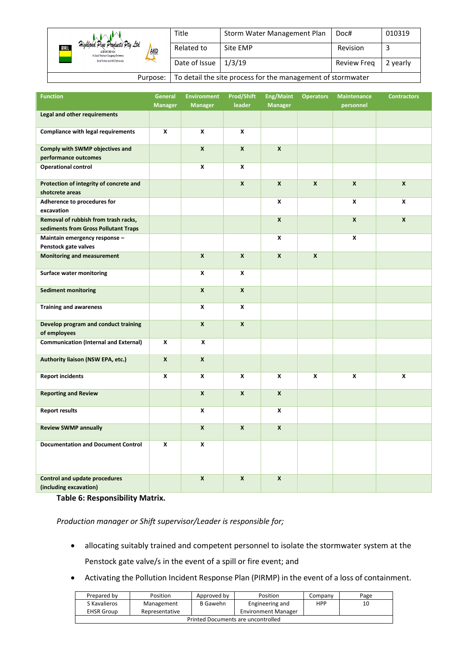|                                                                                                             | Title                                                       | Storm Water Management Plan | Doc#        | 010319   |  |
|-------------------------------------------------------------------------------------------------------------|-------------------------------------------------------------|-----------------------------|-------------|----------|--|
| Highland Pine Products Pty Ltd<br>BORAL<br><b>AKD</b><br>ACN 093 059 404<br>A Joint Venture Company Between | Related to                                                  | Site EMP                    | Revision    |          |  |
| Boral Timber and AKD Softwoods                                                                              | Date of Issue                                               | 1/3/19                      | Review Freg | 2 yearly |  |
| Purpose:                                                                                                    | To detail the site process for the management of stormwater |                             |             |          |  |

| <b>Function</b>                                                              | <b>General</b><br><b>Manager</b> | <b>Environment</b><br><b>Manager</b> | <b>Prod/Shift</b><br>leader | <b>Eng/Maint</b><br><b>Manager</b> | <b>Operators</b> | <b>Maintenance</b><br>personnel | <b>Contractors</b> |
|------------------------------------------------------------------------------|----------------------------------|--------------------------------------|-----------------------------|------------------------------------|------------------|---------------------------------|--------------------|
| Legal and other requirements                                                 |                                  |                                      |                             |                                    |                  |                                 |                    |
| <b>Compliance with legal requirements</b>                                    | X                                | X                                    | X                           |                                    |                  |                                 |                    |
| Comply with SWMP objectives and<br>performance outcomes                      |                                  | $\pmb{\chi}$                         | $\boldsymbol{x}$            | $\boldsymbol{x}$                   |                  |                                 |                    |
| <b>Operational control</b>                                                   |                                  | X                                    | X                           |                                    |                  |                                 |                    |
| Protection of integrity of concrete and<br>shotcrete areas                   |                                  |                                      | $\boldsymbol{x}$            | $\mathsf{x}$                       | $\boldsymbol{x}$ | $\mathsf{x}$                    | $\boldsymbol{x}$   |
| Adherence to procedures for<br>excavation                                    |                                  |                                      |                             | x                                  |                  | X                               | X                  |
| Removal of rubbish from trash racks,<br>sediments from Gross Pollutant Traps |                                  |                                      |                             | $\mathsf{x}$                       |                  | X                               | $\mathsf{x}$       |
| Maintain emergency response -<br>Penstock gate valves                        |                                  |                                      |                             | X                                  |                  | X                               |                    |
| <b>Monitoring and measurement</b>                                            |                                  | $\boldsymbol{x}$                     | $\boldsymbol{x}$            | $\boldsymbol{x}$                   | $\boldsymbol{x}$ |                                 |                    |
| <b>Surface water monitoring</b>                                              |                                  | X                                    | X                           |                                    |                  |                                 |                    |
| <b>Sediment monitoring</b>                                                   |                                  | $\boldsymbol{x}$                     | $\boldsymbol{x}$            |                                    |                  |                                 |                    |
| <b>Training and awareness</b>                                                |                                  | X                                    | X                           |                                    |                  |                                 |                    |
| Develop program and conduct training<br>of employees                         |                                  | $\mathbf x$                          | $\boldsymbol{x}$            |                                    |                  |                                 |                    |
| <b>Communication (Internal and External)</b>                                 | X                                | X                                    |                             |                                    |                  |                                 |                    |
| Authority liaison (NSW EPA, etc.)                                            | $\pmb{\times}$                   | $\mathbf{x}$                         |                             |                                    |                  |                                 |                    |
| <b>Report incidents</b>                                                      | X                                | X                                    | X                           | X                                  | X                | X                               | X                  |
| <b>Reporting and Review</b>                                                  |                                  | $\mathbf x$                          | X                           | X                                  |                  |                                 |                    |
| <b>Report results</b>                                                        |                                  | X                                    |                             | X                                  |                  |                                 |                    |
| <b>Review SWMP annually</b>                                                  |                                  | $\pmb{\mathsf{x}}$                   | $\mathbf{x}$                | $\pmb{\mathsf{x}}$                 |                  |                                 |                    |
| <b>Documentation and Document Control</b>                                    | X                                | X                                    |                             |                                    |                  |                                 |                    |
| <b>Control and update procedures</b><br>(including excavation)               |                                  | $\mathsf{x}$                         | $\mathsf{x}$                | $\mathsf{x}$                       |                  |                                 |                    |

**Table 6: Responsibility Matrix.**

*Production manager or Shift supervisor/Leader is responsible for;*

- allocating suitably trained and competent personnel to isolate the stormwater system at the Penstock gate valve/s in the event of a spill or fire event; and
- Activating the Pollution Incident Response Plan (PIRMP) in the event of a loss of containment.

| Prepared by                        | Position       | Approved by | Position                   | Company    | Page |  |  |  |
|------------------------------------|----------------|-------------|----------------------------|------------|------|--|--|--|
| S Kavalieros                       | Management     | B Gawehn    | Engineering and            | <b>HPP</b> | 10   |  |  |  |
| <b>EHSR Group</b>                  | Representative |             | <b>Environment Manager</b> |            |      |  |  |  |
| Printed Documents are uncontrolled |                |             |                            |            |      |  |  |  |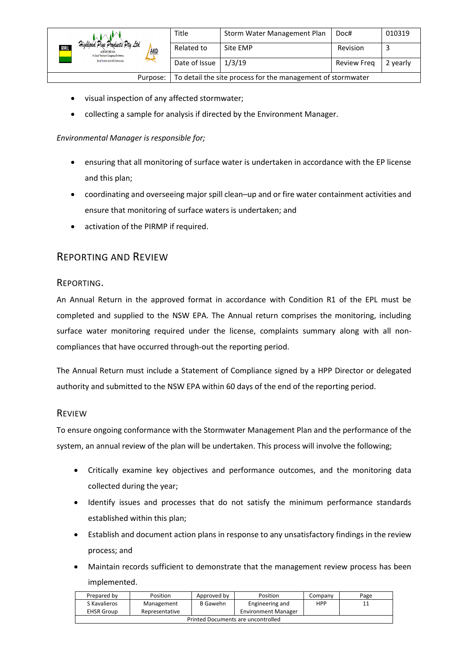| Highland Pine Products Pty Ltd<br><b>BORAL</b><br><b>AKD</b><br>ACN 093 059 404<br>A Joint Venture Company Between | Title         | Storm Water Management Plan | Doc#        | 010319   |
|--------------------------------------------------------------------------------------------------------------------|---------------|-----------------------------|-------------|----------|
|                                                                                                                    | Related to    | Site EMP                    | Revision    |          |
| Boral Timber and AKD Softwoods                                                                                     | Date of Issue | 1/3/19                      | Review Freg | 2 yearly |
| To detail the site process for the management of stormwater<br>Purpose:                                            |               |                             |             |          |

- visual inspection of any affected stormwater;
- collecting a sample for analysis if directed by the Environment Manager.

#### *Environmental Manager is responsible for;*

- ensuring that all monitoring of surface water is undertaken in accordance with the EP license and this plan;
- coordinating and overseeing major spill clean–up and or fire water containment activities and ensure that monitoring of surface waters is undertaken; and
- activation of the PIRMP if required.

# <span id="page-11-0"></span>REPORTING AND REVIEW

## <span id="page-11-1"></span>REPORTING.

An Annual Return in the approved format in accordance with Condition R1 of the EPL must be completed and supplied to the NSW EPA. The Annual return comprises the monitoring, including surface water monitoring required under the license, complaints summary along with all noncompliances that have occurred through-out the reporting period.

The Annual Return must include a Statement of Compliance signed by a HPP Director or delegated authority and submitted to the NSW EPA within 60 days of the end of the reporting period.

## <span id="page-11-2"></span>REVIEW

To ensure ongoing conformance with the Stormwater Management Plan and the performance of the system, an annual review of the plan will be undertaken. This process will involve the following;

- Critically examine key objectives and performance outcomes, and the monitoring data collected during the year;
- Identify issues and processes that do not satisfy the minimum performance standards established within this plan;
- Establish and document action plans in response to any unsatisfactory findings in the review process; and
- Maintain records sufficient to demonstrate that the management review process has been implemented.

| Prepared by                        | Position       | Approved by | Position                   | Company    | Page |  |  |  |
|------------------------------------|----------------|-------------|----------------------------|------------|------|--|--|--|
| S Kavalieros                       | Management     | B Gawehn    | Engineering and            | <b>HPP</b> | 11   |  |  |  |
| <b>EHSR Group</b>                  | Representative |             | <b>Environment Manager</b> |            |      |  |  |  |
| Printed Documents are uncontrolled |                |             |                            |            |      |  |  |  |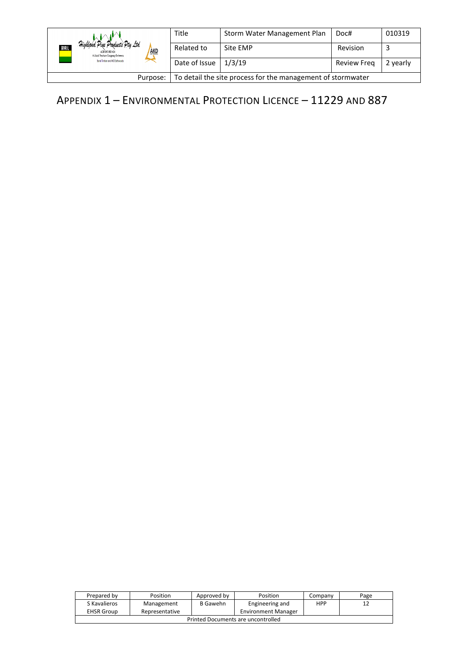|                                                                                                                   | Title         | Storm Water Management Plan | Doc#               | 010319   |
|-------------------------------------------------------------------------------------------------------------------|---------------|-----------------------------|--------------------|----------|
| Highland Pine Products Pty Ltd<br><b>ENER</b><br><b>AKD</b><br>ACN 093 059 404<br>A Joint Venture Commany Between | Related to    | Site EMP                    | Revision           | ت        |
| Boral Timber and AKD Softwoods                                                                                    | Date of Issue | 1/3/19                      | <b>Review Freg</b> | 2 yearly |
| To detail the site process for the management of stormwater<br>Purpose:                                           |               |                             |                    |          |

# <span id="page-12-0"></span>APPENDIX 1 – ENVIRONMENTAL PROTECTION LICENCE – 11229 AND 887

| Prepared by                        | Position       | Approved by | Position                   | Company    | Page |  |  |  |
|------------------------------------|----------------|-------------|----------------------------|------------|------|--|--|--|
| S Kavalieros                       | Management     | B Gawehn    | Engineering and            | <b>HPP</b> | ᅭ    |  |  |  |
| <b>EHSR Group</b>                  | Representative |             | <b>Environment Manager</b> |            |      |  |  |  |
| Printed Documents are uncontrolled |                |             |                            |            |      |  |  |  |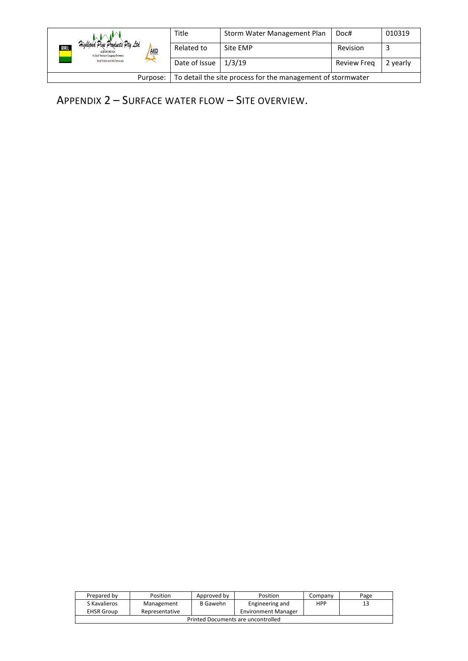|                                                                                                                  | Title         | Storm Water Management Plan | Doc#               | 010319   |
|------------------------------------------------------------------------------------------------------------------|---------------|-----------------------------|--------------------|----------|
| Highland Pine Products Pty Ltd<br><b>ROM</b><br><b>AKD</b><br>ACN 093 059 404<br>A Joint Venture Company Between | Related to    | Site EMP                    | Revision           |          |
| Boral Timber and AKD Softwoods                                                                                   | Date of Issue | 1/3/19                      | <b>Review Freg</b> | 2 yearly |
| To detail the site process for the management of stormwater<br>Purpose:                                          |               |                             |                    |          |

<span id="page-13-0"></span>APPENDIX 2 – SURFACE WATER FLOW – SITE OVERVIEW.

| Prepared by                        | Position       | Approved by | Position                   | Company    | Page |  |  |  |
|------------------------------------|----------------|-------------|----------------------------|------------|------|--|--|--|
| S Kavalieros                       | Management     | B Gawehn    | Engineering and            | <b>HPP</b> | 13   |  |  |  |
| <b>EHSR Group</b>                  | Representative |             | <b>Environment Manager</b> |            |      |  |  |  |
| Printed Documents are uncontrolled |                |             |                            |            |      |  |  |  |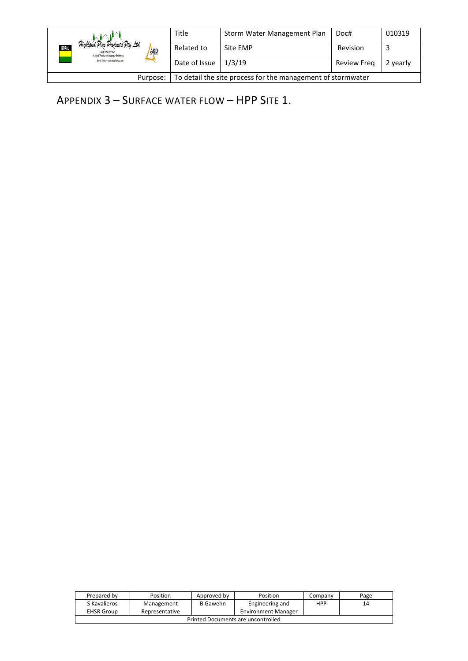|                                                                                                      | Title         | Storm Water Management Plan | Doc#               | 010319   |
|------------------------------------------------------------------------------------------------------|---------------|-----------------------------|--------------------|----------|
| Highland Pine Products Pty Ltd<br>ROPAL<br>AKD<br>ACN 093 059 404<br>A Joint Venture Company Between | Related to    | Site EMP                    | Revision           |          |
| Boral Timber and AKD Softwoods                                                                       | Date of Issue | 1/3/19                      | <b>Review Freg</b> | 2 yearly |
| To detail the site process for the management of stormwater<br>Purpose:                              |               |                             |                    |          |

<span id="page-14-0"></span>APPENDIX 3 – SURFACE WATER FLOW – HPP SITE 1.

| Prepared by                        | Position       | Approved by | Position                   | Company    | Page |  |  |  |
|------------------------------------|----------------|-------------|----------------------------|------------|------|--|--|--|
| S Kavalieros                       | Management     | B Gawehn    | Engineering and            | <b>HPP</b> | 14   |  |  |  |
| <b>EHSR Group</b>                  | Representative |             | <b>Environment Manager</b> |            |      |  |  |  |
| Printed Documents are uncontrolled |                |             |                            |            |      |  |  |  |